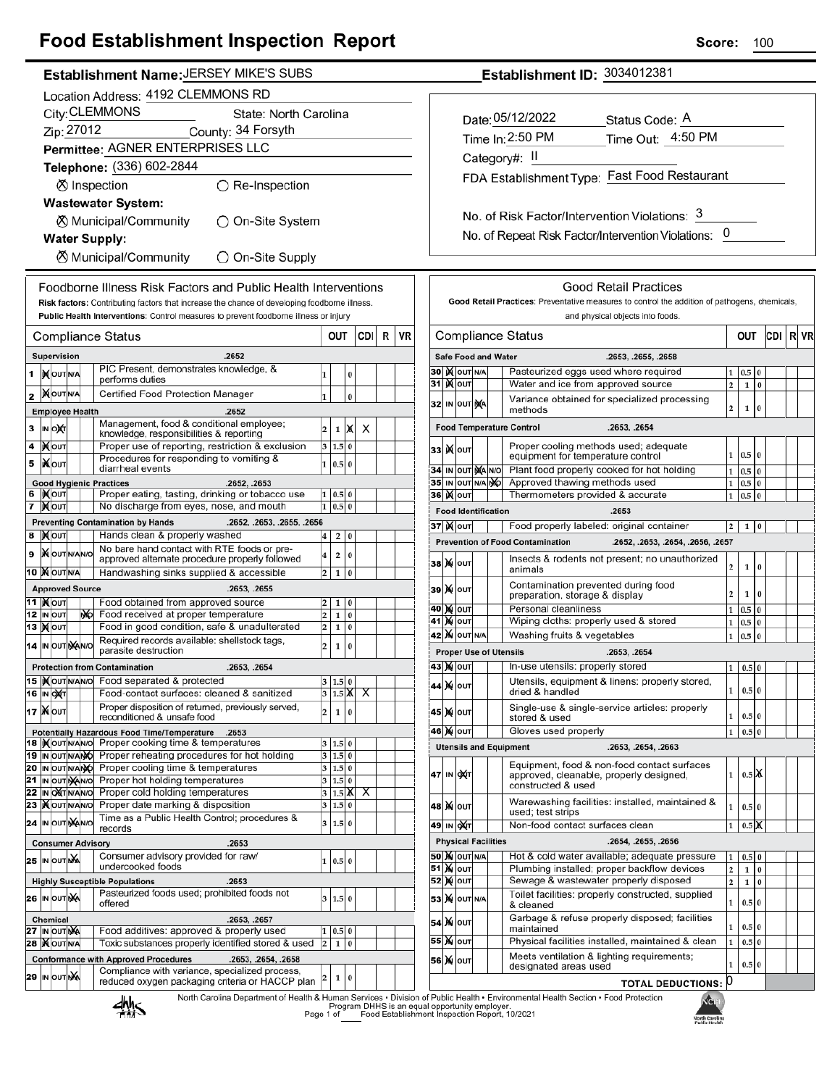## **Food Establishment Inspection Report**

| Establishment Name: JERSEY MIKE'S SUBS                                                                                                                                 | Establishment ID: 3034012381                                                                                                                                        |  |  |  |
|------------------------------------------------------------------------------------------------------------------------------------------------------------------------|---------------------------------------------------------------------------------------------------------------------------------------------------------------------|--|--|--|
| Location Address: 4192 CLEMMONS RD                                                                                                                                     |                                                                                                                                                                     |  |  |  |
| City: CLEMMONS<br>State: North Carolina                                                                                                                                |                                                                                                                                                                     |  |  |  |
| Zip: 27012<br>County: 34 Forsyth                                                                                                                                       | Date: 05/12/2022<br>Status Code: A                                                                                                                                  |  |  |  |
|                                                                                                                                                                        | Time In: 2:50 PM<br>Time Out: 4:50 PM                                                                                                                               |  |  |  |
| Permittee: AGNER ENTERPRISES LLC                                                                                                                                       | Category#: II                                                                                                                                                       |  |  |  |
| Telephone: (336) 602-2844                                                                                                                                              | FDA Establishment Type: Fast Food Restaurant                                                                                                                        |  |  |  |
| ⊗ Inspection<br>$\bigcirc$ Re-Inspection                                                                                                                               |                                                                                                                                                                     |  |  |  |
| <b>Wastewater System:</b>                                                                                                                                              |                                                                                                                                                                     |  |  |  |
| <b><math>\oslash</math> Municipal/Community</b><br>◯ On-Site System                                                                                                    | No. of Risk Factor/Intervention Violations: 3                                                                                                                       |  |  |  |
| <b>Water Supply:</b>                                                                                                                                                   | No. of Repeat Risk Factor/Intervention Violations: 0                                                                                                                |  |  |  |
| <b><math>\oslash</math> Municipal/Community</b><br>◯ On-Site Supply                                                                                                    |                                                                                                                                                                     |  |  |  |
|                                                                                                                                                                        |                                                                                                                                                                     |  |  |  |
| Foodborne Illness Risk Factors and Public Health Interventions                                                                                                         | <b>Good Retail Practices</b>                                                                                                                                        |  |  |  |
| Risk factors: Contributing factors that increase the chance of developing foodborne illness.                                                                           | Good Retail Practices: Preventative measures to control the addition of pathogens, chemicals,                                                                       |  |  |  |
| Public Health Interventions: Control measures to prevent foodborne illness or injury                                                                                   | and physical objects into foods.                                                                                                                                    |  |  |  |
| CDI R   VR<br>OUT<br><b>Compliance Status</b>                                                                                                                          | <b>Compliance Status</b><br>OUT<br>CDI R                                                                                                                            |  |  |  |
| Supervision<br>.2652                                                                                                                                                   | <b>Safe Food and Water</b><br>.2653, .2655, .2658                                                                                                                   |  |  |  |
| PIC Present, demonstrates knowledge, &<br><b>XOUTINA</b><br>1<br>0                                                                                                     | <b>30 IX OUT N/A</b><br>Pasteurized eggs used where required<br>$0.5$ 0<br>1                                                                                        |  |  |  |
| performs duties<br><b>XOUTNA</b><br>Certified Food Protection Manager                                                                                                  | 31   <b>X</b> out<br>$\overline{2}$<br>Water and ice from approved source<br>$1\,0$                                                                                 |  |  |  |
| $\bf{0}$<br>2<br>1                                                                                                                                                     | Variance obtained for specialized processing<br>32 IN OUT NA<br>$\mathbf 2$<br>$\mathbf{1}$<br>$\bf{0}$<br>methods                                                  |  |  |  |
| <b>Employee Health</b><br>.2652<br>Management, food & conditional employee;                                                                                            |                                                                                                                                                                     |  |  |  |
| 3<br>IN ONT<br>X<br>$\overline{2}$<br>X<br>$\mathbf{1}$<br>knowledge, responsibilities & reporting                                                                     | <b>Food Temperature Control</b><br>.2653, .2654                                                                                                                     |  |  |  |
| $\overline{\mathbf{4}}$<br><b>KOUT</b><br>Proper use of reporting, restriction & exclusion<br>3   1.5   0<br>Procedures for responding to vomiting &                   | Proper cooling methods used; adequate<br><b>33 ) Колт</b><br>1   0.5   0<br>equipment for temperature control                                                       |  |  |  |
| <b>XOUT</b><br>5<br>1 0.5 0<br>diarrheal events                                                                                                                        | Plant food properly cooked for hot holding<br>34 IN OUT MA NO<br>$0.5\vert 0$<br>$\mathbf{1}$                                                                       |  |  |  |
| <b>Good Hygienic Practices</b><br>.2652, .2653                                                                                                                         | 35 IN OUT N/A NO<br>Approved thawing methods used<br>$\mathbf{1}$<br>$0.5\vert 0$                                                                                   |  |  |  |
| 6   KOUT<br>Proper eating, tasting, drinking or tobacco use<br>1   0.5   0<br>7 Mour<br>No discharge from eyes, nose, and mouth<br>$1 \ 0.5 \ 0$                       | 36   <b>X</b> out<br>Thermometers provided & accurate<br>$0.5\,$ 0<br>$\mathbf{1}$                                                                                  |  |  |  |
| <b>Preventing Contamination by Hands</b><br>.2652, .2653, .2655, .2656                                                                                                 | <b>Food Identification</b><br>.2653                                                                                                                                 |  |  |  |
| 8 Mour<br>Hands clean & properly washed<br>$4 \mid 2 \mid 0$                                                                                                           | 37 X OUT<br>Food properly labeled: original container<br>$1\vert 0$<br>$\overline{2}$                                                                               |  |  |  |
| No bare hand contact with RTE foods or pre-<br>9   OUT N/AN/O<br>$\overline{2}$<br>$\pmb{0}$<br>$\overline{4}$                                                         | <b>Prevention of Food Contamination</b><br>.2652, .2653, .2654, .2656, .2657                                                                                        |  |  |  |
| approved alternate procedure properly followed                                                                                                                         | Insects & rodents not present; no unauthorized<br><b>38 М</b> ОUТ<br>$\overline{2}$<br>1 0<br>animals                                                               |  |  |  |
| 10 XOUTNA<br>Handwashing sinks supplied & accessible<br>$2 \mid 1 \mid 0$                                                                                              | Contamination prevented during food                                                                                                                                 |  |  |  |
| <b>Approved Source</b><br>.2653, .2655<br><b>11   Молт</b><br>Food obtained from approved source<br>1 0<br>2 <sub>1</sub>                                              | 39 X OUT<br>$\overline{2}$<br>1 0<br>preparation, storage & display                                                                                                 |  |  |  |
| 12 IN OUT<br>No Food received at proper temperature<br>$\overline{2}$<br>$\bf{0}$<br>$\mathbf{1}$                                                                      | 40 M OUT<br>Personal cleanliness<br>$1 \quad 0.5 \quad 0$                                                                                                           |  |  |  |
| Food in good condition, safe & unadulterated<br>13 MOUT<br>2 <br>1 0                                                                                                   | <b>41 X OUT</b><br>Wiping cloths: properly used & stored<br>$0.5\,0$<br>$\mathbf{1}$<br><b>42 X OUT N/A</b><br>$\mathbf{1}$<br>0.5 0<br>Washing fruits & vegetables |  |  |  |
| Required records available: shellstock tags,<br>IN OUT NAINO<br>$\bf{0}$<br>$\overline{\mathbf{c}}$<br>$\mathbf 1$<br>14<br>parasite destruction                       | <b>Proper Use of Utensils</b>                                                                                                                                       |  |  |  |
| <b>Protection from Contamination</b><br>.2653, .2654                                                                                                                   | .2653, .2654<br>43 X out   In-use utensils: properly stored<br>$1 \quad 0.5 \quad 0$                                                                                |  |  |  |
| 15   Nout NANO Food separated & protected<br>3   1.5   0                                                                                                               | Utensils, equipment & linens: properly stored,                                                                                                                      |  |  |  |
| 16 IN OXT<br>Food-contact surfaces: cleaned & sanitized<br>$3 1.5 X $ X                                                                                                | 44 X OUT<br>$\mathbf{1}$<br>$0.5\vert 0$<br>dried & handled                                                                                                         |  |  |  |
| Proper disposition of returned, previously served,<br>17   Nout<br>$\pmb{0}$<br>$\overline{2}$<br>$1\overline{ }$<br>reconditioned & unsafe food                       | Single-use & single-service articles: properly<br>45 X OUT<br>$\mathbf{1}$<br>$0.5\,0$                                                                              |  |  |  |
| Potentially Hazardous Food Time/Temperature .2653                                                                                                                      | stored & used<br>Gloves used properly<br>46 X OUT<br>$\mathbf{1}$<br>$0.5$ 0                                                                                        |  |  |  |
| 18   Nout NANO Proper cooking time & temperatures<br>3   1.5   0                                                                                                       | <b>Utensils and Equipment</b><br>.2653, .2654, .2663                                                                                                                |  |  |  |
| 19 In out NAMO Proper reheating procedures for hot holding<br>3 1.5 0                                                                                                  |                                                                                                                                                                     |  |  |  |
| 20 IN OUT N/ANO Proper cooling time & temperatures<br>$3 \ 1.5 \ 0$<br>$\overline{21}$<br>IN OUT WAIN O Proper hot holding temperatures<br>3   1.5   0                 | Equipment, food & non-food contact surfaces<br>47 IN OXT<br>$\mathbf{1}$<br>$0.5$ $\chi$<br>approved, cleanable, properly designed,                                 |  |  |  |
| 22<br>IN ONTINANIO Proper cold holding temperatures<br>$3$ 1.5 $\mathbb{X}$ X                                                                                          | constructed & used                                                                                                                                                  |  |  |  |
| 23 Xout NANO Proper date marking & disposition<br>$3 \ 1.5 \ 0$                                                                                                        | Warewashing facilities: installed, maintained &<br><b>48 X</b> олт<br>$\mathbf 1$<br>$0.5$ 0<br>used; test strips                                                   |  |  |  |
| Time as a Public Health Control; procedures &<br>24 IN OUT MANO<br>3   1.5   0<br>records                                                                              | Non-food contact surfaces clean<br>0.5K<br>49∣ ін ∣оХ(т<br>$\mathbf{1}$                                                                                             |  |  |  |
| <b>Physical Facilities</b><br>.2654, .2655, .2656<br><b>Consumer Advisory</b><br>.2653                                                                                 |                                                                                                                                                                     |  |  |  |
| Consumer advisory provided for raw/<br>25 IN OUT NA<br>1 0.5 0                                                                                                         | <b>50 X OUT N/A</b><br>Hot & cold water available; adequate pressure<br>$0.5\,0$<br>1                                                                               |  |  |  |
| undercooked foods                                                                                                                                                      | <b>51 X OUT</b><br>Plumbing installed; proper backflow devices<br>$\mathbf 2$<br>$1\,0$                                                                             |  |  |  |
| <b>Highly Susceptible Populations</b><br>.2653<br>Pasteurized foods used; prohibited foods not                                                                         | <b>52 MOUT</b><br>Sewage & wastewater properly disposed<br>$\overline{2}$<br>$1\,0$<br>Toilet facilities: properly constructed, supplied                            |  |  |  |
| 26 IN OUT NA<br>3   1.5   0<br>offered                                                                                                                                 | <b>53 X</b> OUT N/A<br>$\mathbf{1}$<br>0.5 0<br>& cleaned                                                                                                           |  |  |  |
| .2653, .2657<br>Chemical                                                                                                                                               | Garbage & refuse properly disposed; facilities<br>54 X   OUT<br>$\mathbf{1}$<br>$0.5\,0$                                                                            |  |  |  |
| 27 IN OUT NA<br>Food additives: approved & properly used<br>1   0.5   0<br>28 <b>XOUTNA</b><br>Toxic substances properly identified stored & used<br>$2 \mid 1 \mid 0$ | maintained<br>55 X OUT<br>Physical facilities installed, maintained & clean<br>$\mathbf{1}$<br>0.5 0                                                                |  |  |  |
| <b>Conformance with Approved Procedures</b><br>.2653, .2654, .2658                                                                                                     | Meets ventilation & lighting requirements;<br>56 X OUT                                                                                                              |  |  |  |
| Compliance with variance, specialized process,<br>29 IN OUT NA                                                                                                         | $\mathbf 1$<br>$0.5\,0$<br>designated areas used                                                                                                                    |  |  |  |
| 0<br>1<br>reduced oxygen packaging criteria or HACCP plan                                                                                                              | TOTAL DEDUCTIONS: 0                                                                                                                                                 |  |  |  |

**TOTAL DEDUCTIONS:**  $|0\rangle$ 

North Carolina Department of Health & Human Services • Division of Public Health • Environmental Health Section • Food Protection<br>Program DHHS is an equal opportunity employer.<br>Food Establishment Inspection Report, 10/2021



Score: 100

CDI R VR

| contact surfaces<br>y designed, | $\mathbf{1}$   | $0.5$ X         |          |  |
|---------------------------------|----------------|-----------------|----------|--|
| led, maintained &               | $\mathbf{1}$   | 0.5             | $\bf{0}$ |  |
| ean                             | 1              | $0.5\mathsf{X}$ |          |  |
| :655. .2656                     |                |                 |          |  |
| dequate pressure                | 1              | 0.5             | 0        |  |
| ckflow devices                  | 2              | $\mathbf{1}$    | $\bf{0}$ |  |
| rly disposed                    | $\overline{2}$ | $\mathbf{1}$    | $\bf{0}$ |  |
| tructed, supplied               | $\mathbf{1}$   | 0.5             | $\bf{0}$ |  |
| sposed; facilities              | 1              | 0.5             | $\bf{0}$ |  |
| aintained & clean               | 1              | 0.5             | $\theta$ |  |

**North Caroline**<br>Public Health

١ù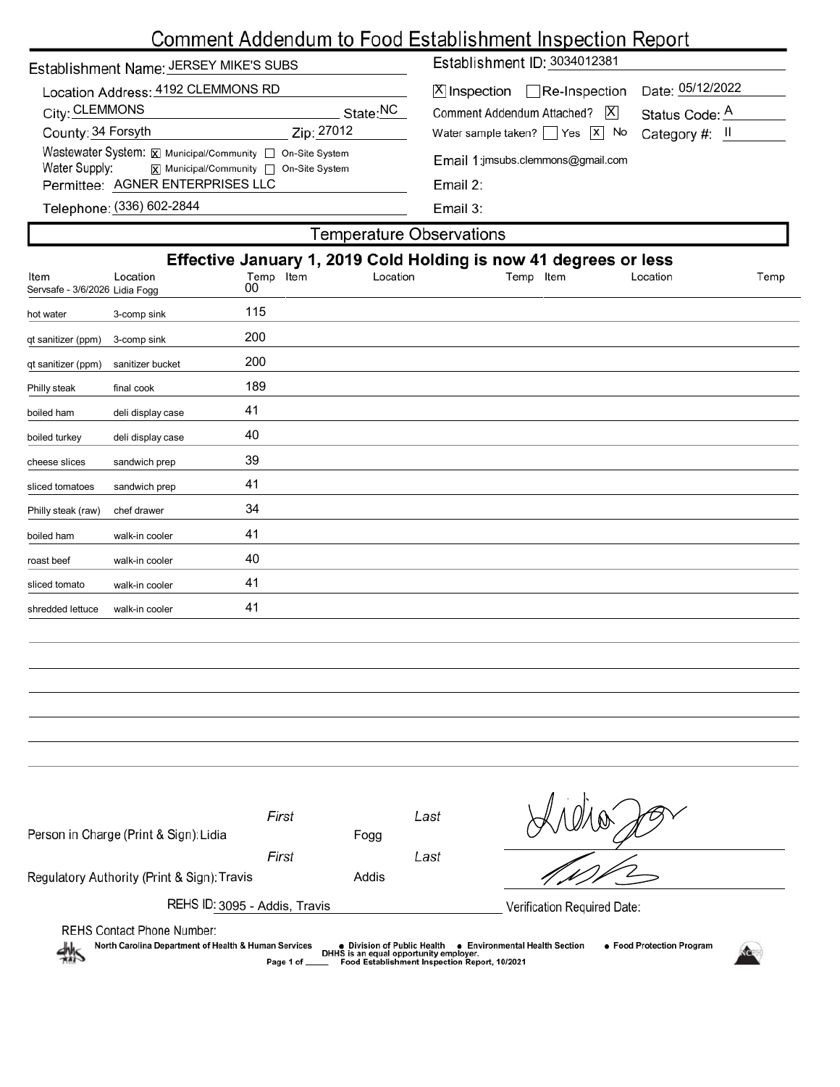# Comment Addendum to Food Establishment Inspection Report

| Establishment Name: JERSEY MIKE'S SUBS                                                                                                                          | Establishment ID: 3034012381                                                                                                                                               |  |  |  |
|-----------------------------------------------------------------------------------------------------------------------------------------------------------------|----------------------------------------------------------------------------------------------------------------------------------------------------------------------------|--|--|--|
| Location Address: 4192 CLEMMONS RD<br>City: CLEMMONS<br>State:NC<br>County: 34 Forsyth<br>Zip: 27012                                                            | Date: 05/12/2022<br>$X$ Inspection Re-Inspection<br>Comment Addendum Attached?   X<br>Status Code: A<br>Water sample taken? $\sqrt{Y}$ Yes $\sqrt{X}$ No<br>Category #: II |  |  |  |
| Wastewater System: X Municipal/Community   On-Site System<br>Water Supply:<br><b>x</b> Municipal/Community □ On-Site System<br>Permittee: AGNER ENTERPRISES LLC | Email 1:jmsubs.clemmons@gmail.com<br>Email 2:                                                                                                                              |  |  |  |
| Telephone: (336) 602-2844                                                                                                                                       | Email 3:                                                                                                                                                                   |  |  |  |
| Temperature Observations                                                                                                                                        |                                                                                                                                                                            |  |  |  |

| i omporatare epocritatione                                       |                   |           |          |           |          |      |
|------------------------------------------------------------------|-------------------|-----------|----------|-----------|----------|------|
| Effective January 1, 2019 Cold Holding is now 41 degrees or less |                   |           |          |           |          |      |
| Item                                                             | Location          | Temp Item | Location | Temp Item | Location | Temp |
| Servsafe - 3/6/2026 Lidia Fogg                                   |                   | 00        |          |           |          |      |
| hot water                                                        | 3-comp sink       | 115       |          |           |          |      |
| qt sanitizer (ppm)                                               | 3-comp sink       | 200       |          |           |          |      |
| qt sanitizer (ppm)                                               | sanitizer bucket  | 200       |          |           |          |      |
| Philly steak                                                     | final cook        | 189       |          |           |          |      |
| boiled ham                                                       | deli display case | 41        |          |           |          |      |
| boiled turkey                                                    | deli display case | 40        |          |           |          |      |
| cheese slices                                                    | sandwich prep     | 39        |          |           |          |      |
| sliced tomatoes                                                  | sandwich prep     | 41        |          |           |          |      |
| Philly steak (raw)                                               | chef drawer       | 34        |          |           |          |      |
| boiled ham                                                       | walk-in cooler    | 41        |          |           |          |      |
| roast beef                                                       | walk-in cooler    | 40        |          |           |          |      |
| sliced tomato                                                    | walk-in cooler    | 41        |          |           |          |      |
| shredded lettuce                                                 | walk-in cooler    | 41        |          |           |          |      |
|                                                                  |                   |           |          |           |          |      |

| Person in Charge (Print & Sign): Lidia                                                                                                                                                                                                                                                                                   | First<br>Fogg  | Last |                             |  |
|--------------------------------------------------------------------------------------------------------------------------------------------------------------------------------------------------------------------------------------------------------------------------------------------------------------------------|----------------|------|-----------------------------|--|
| Regulatory Authority (Print & Sign): Travis                                                                                                                                                                                                                                                                              | First<br>Addis | Last |                             |  |
| REHS ID: 3095 - Addis, Travis                                                                                                                                                                                                                                                                                            |                |      | Verification Required Date: |  |
| <b>REHS Contact Phone Number:</b><br>North Carolina Department of Health & Human Services<br>● Food Protection Program<br>● Division of Public Health<br><b>Environmental Health Section</b><br>DHHS is an equal opportunity employer.<br>$\frac{1}{2}$<br>Food Establishment Inspection Report, 10/2021<br>Page 1 of __ |                |      |                             |  |